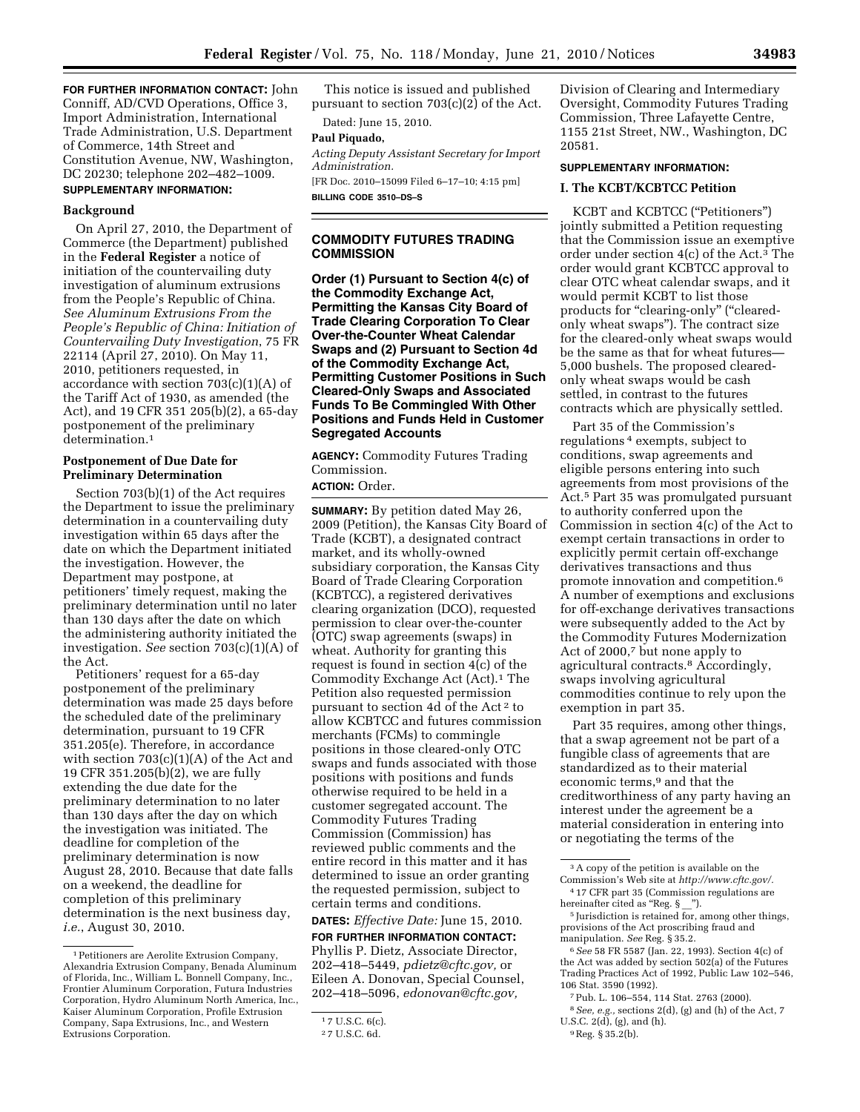**FOR FURTHER INFORMATION CONTACT:** John Conniff, AD/CVD Operations, Office 3, Import Administration, International Trade Administration, U.S. Department of Commerce, 14th Street and Constitution Avenue, NW, Washington, DC 20230; telephone 202–482–1009. **SUPPLEMENTARY INFORMATION:** 

### **Background**

On April 27, 2010, the Department of Commerce (the Department) published in the **Federal Register** a notice of initiation of the countervailing duty investigation of aluminum extrusions from the People's Republic of China. *See Aluminum Extrusions From the People's Republic of China: Initiation of Countervailing Duty Investigation*, 75 FR 22114 (April 27, 2010). On May 11, 2010, petitioners requested, in accordance with section 703(c)(1)(A) of the Tariff Act of 1930, as amended (the Act), and 19 CFR 351 205(b)(2), a 65-day postponement of the preliminary determination.<sup>1</sup>

### **Postponement of Due Date for Preliminary Determination**

Section 703(b)(1) of the Act requires the Department to issue the preliminary determination in a countervailing duty investigation within 65 days after the date on which the Department initiated the investigation. However, the Department may postpone, at petitioners' timely request, making the preliminary determination until no later than 130 days after the date on which the administering authority initiated the investigation. *See* section 703(c)(1)(A) of the Act.

Petitioners' request for a 65-day postponement of the preliminary determination was made 25 days before the scheduled date of the preliminary determination, pursuant to 19 CFR 351.205(e). Therefore, in accordance with section  $703(c)(1)(A)$  of the Act and 19 CFR 351.205(b)(2), we are fully extending the due date for the preliminary determination to no later than 130 days after the day on which the investigation was initiated. The deadline for completion of the preliminary determination is now August 28, 2010. Because that date falls on a weekend, the deadline for completion of this preliminary determination is the next business day, *i.e.*, August 30, 2010.

This notice is issued and published pursuant to section 703(c)(2) of the Act.

# Dated: June 15, 2010.

**Paul Piquado,** 

*Acting Deputy Assistant Secretary for Import Administration.* 

[FR Doc. 2010–15099 Filed 6–17–10; 4:15 pm] **BILLING CODE 3510–DS–S** 

### **COMMODITY FUTURES TRADING COMMISSION**

**Order (1) Pursuant to Section 4(c) of the Commodity Exchange Act, Permitting the Kansas City Board of Trade Clearing Corporation To Clear Over-the-Counter Wheat Calendar Swaps and (2) Pursuant to Section 4d of the Commodity Exchange Act, Permitting Customer Positions in Such Cleared-Only Swaps and Associated Funds To Be Commingled With Other Positions and Funds Held in Customer Segregated Accounts** 

**AGENCY:** Commodity Futures Trading Commission.

## **ACTION:** Order.

**SUMMARY:** By petition dated May 26, 2009 (Petition), the Kansas City Board of Trade (KCBT), a designated contract market, and its wholly-owned subsidiary corporation, the Kansas City Board of Trade Clearing Corporation (KCBTCC), a registered derivatives clearing organization (DCO), requested permission to clear over-the-counter (OTC) swap agreements (swaps) in wheat. Authority for granting this request is found in section 4(c) of the Commodity Exchange Act (Act).1 The Petition also requested permission pursuant to section 4d of the Act 2 to allow KCBTCC and futures commission merchants (FCMs) to commingle positions in those cleared-only OTC swaps and funds associated with those positions with positions and funds otherwise required to be held in a customer segregated account. The Commodity Futures Trading Commission (Commission) has reviewed public comments and the entire record in this matter and it has determined to issue an order granting the requested permission, subject to certain terms and conditions.

**DATES:** *Effective Date:* June 15, 2010.

**FOR FURTHER INFORMATION CONTACT:**  Phyllis P. Dietz, Associate Director, 202–418–5449, *[pdietz@cftc.gov,](mailto:pdietz@cftc.gov)* or Eileen A. Donovan, Special Counsel, 202–418–5096, *[edonovan@cftc.gov,](mailto:edonovan@cftc.gov)* 

Division of Clearing and Intermediary Oversight, Commodity Futures Trading Commission, Three Lafayette Centre, 1155 21st Street, NW., Washington, DC 20581.

### **SUPPLEMENTARY INFORMATION:**

### **I. The KCBT/KCBTCC Petition**

KCBT and KCBTCC (''Petitioners'') jointly submitted a Petition requesting that the Commission issue an exemptive order under section 4(c) of the Act.3 The order would grant KCBTCC approval to clear OTC wheat calendar swaps, and it would permit KCBT to list those products for "clearing-only" ("clearedonly wheat swaps''). The contract size for the cleared-only wheat swaps would be the same as that for wheat futures— 5,000 bushels. The proposed clearedonly wheat swaps would be cash settled, in contrast to the futures contracts which are physically settled.

Part 35 of the Commission's regulations 4 exempts, subject to conditions, swap agreements and eligible persons entering into such agreements from most provisions of the Act.5 Part 35 was promulgated pursuant to authority conferred upon the Commission in section 4(c) of the Act to exempt certain transactions in order to explicitly permit certain off-exchange derivatives transactions and thus promote innovation and competition.6 A number of exemptions and exclusions for off-exchange derivatives transactions were subsequently added to the Act by the Commodity Futures Modernization Act of 2000,7 but none apply to agricultural contracts.8 Accordingly, swaps involving agricultural commodities continue to rely upon the exemption in part 35.

Part 35 requires, among other things, that a swap agreement not be part of a fungible class of agreements that are standardized as to their material economic terms,<sup>9</sup> and that the creditworthiness of any party having an interest under the agreement be a material consideration in entering into or negotiating the terms of the

<sup>1</sup>Petitioners are Aerolite Extrusion Company, Alexandria Extrusion Company, Benada Aluminum of Florida, Inc., William L. Bonnell Company, Inc., Frontier Aluminum Corporation, Futura Industries Corporation, Hydro Aluminum North America, Inc., Kaiser Aluminum Corporation, Profile Extrusion Company, Sapa Extrusions, Inc., and Western Extrusions Corporation.

<sup>1</sup> 7 U.S.C. 6(c).

<sup>2</sup> 7 U.S.C. 6d.

<sup>3</sup>A copy of the petition is available on the Commission's Web site at *[http://www.cftc.gov/.](http://www.cftc.gov/)*  4 17 CFR part 35 (Commission regulations are hereinafter cited as "Reg. § \_").

<sup>5</sup> Jurisdiction is retained for, among other things, provisions of the Act proscribing fraud and manipulation. *See* Reg. § 35.2.

<sup>6</sup>*See* 58 FR 5587 (Jan. 22, 1993). Section 4(c) of the Act was added by section 502(a) of the Futures Trading Practices Act of 1992, Public Law 102–546, 106 Stat. 3590 (1992).

<sup>7</sup>Pub. L. 106–554, 114 Stat. 2763 (2000).

<sup>8</sup>*See, e.g.,* sections 2(d), (g) and (h) of the Act, 7 U.S.C. 2(d), (g), and (h).

<sup>9</sup>Reg. § 35.2(b).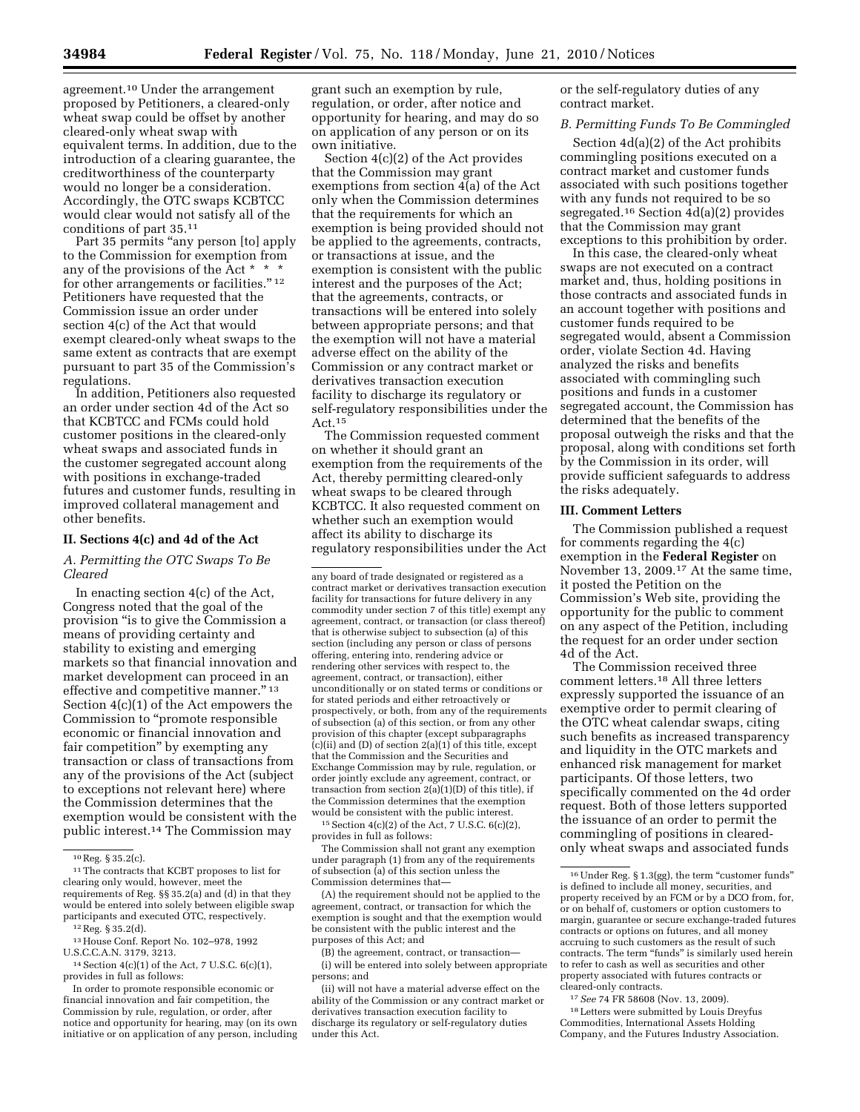agreement.10 Under the arrangement proposed by Petitioners, a cleared-only wheat swap could be offset by another cleared-only wheat swap with equivalent terms. In addition, due to the introduction of a clearing guarantee, the creditworthiness of the counterparty would no longer be a consideration. Accordingly, the OTC swaps KCBTCC would clear would not satisfy all of the conditions of part 35.11

Part 35 permits "any person [to] apply to the Commission for exemption from any of the provisions of the Act \* \* \* for other arrangements or facilities."  $^{\rm 12}$ Petitioners have requested that the Commission issue an order under section 4(c) of the Act that would exempt cleared-only wheat swaps to the same extent as contracts that are exempt pursuant to part 35 of the Commission's regulations.

In addition, Petitioners also requested an order under section 4d of the Act so that KCBTCC and FCMs could hold customer positions in the cleared-only wheat swaps and associated funds in the customer segregated account along with positions in exchange-traded futures and customer funds, resulting in improved collateral management and other benefits.

### **II. Sections 4(c) and 4d of the Act**

*A. Permitting the OTC Swaps To Be Cleared* 

In enacting section 4(c) of the Act, Congress noted that the goal of the provision "is to give the Commission a means of providing certainty and stability to existing and emerging markets so that financial innovation and market development can proceed in an effective and competitive manner.'' 13 Section 4(c)(1) of the Act empowers the Commission to ''promote responsible economic or financial innovation and fair competition'' by exempting any transaction or class of transactions from any of the provisions of the Act (subject to exceptions not relevant here) where the Commission determines that the exemption would be consistent with the public interest.14 The Commission may

grant such an exemption by rule, regulation, or order, after notice and opportunity for hearing, and may do so on application of any person or on its own initiative.

Section 4(c)(2) of the Act provides that the Commission may grant exemptions from section 4(a) of the Act only when the Commission determines that the requirements for which an exemption is being provided should not be applied to the agreements, contracts, or transactions at issue, and the exemption is consistent with the public interest and the purposes of the Act; that the agreements, contracts, or transactions will be entered into solely between appropriate persons; and that the exemption will not have a material adverse effect on the ability of the Commission or any contract market or derivatives transaction execution facility to discharge its regulatory or self-regulatory responsibilities under the Act.15

The Commission requested comment on whether it should grant an exemption from the requirements of the Act, thereby permitting cleared-only wheat swaps to be cleared through KCBTCC. It also requested comment on whether such an exemption would affect its ability to discharge its regulatory responsibilities under the Act

 $15$  Section  $4(c)(2)$  of the Act, 7 U.S.C.  $6(c)(2)$ , provides in full as follows:

The Commission shall not grant any exemption under paragraph (1) from any of the requirements of subsection (a) of this section unless the Commission determines that—

(A) the requirement should not be applied to the agreement, contract, or transaction for which the exemption is sought and that the exemption would be consistent with the public interest and the purposes of this Act; and

(B) the agreement, contract, or transaction— (i) will be entered into solely between appropriate persons; and

(ii) will not have a material adverse effect on the ability of the Commission or any contract market or derivatives transaction execution facility to discharge its regulatory or self-regulatory duties under this Act.

or the self-regulatory duties of any contract market.

### *B. Permitting Funds To Be Commingled*

Section 4d(a)(2) of the Act prohibits commingling positions executed on a contract market and customer funds associated with such positions together with any funds not required to be so segregated.16 Section 4d(a)(2) provides that the Commission may grant exceptions to this prohibition by order.

In this case, the cleared-only wheat swaps are not executed on a contract market and, thus, holding positions in those contracts and associated funds in an account together with positions and customer funds required to be segregated would, absent a Commission order, violate Section 4d. Having analyzed the risks and benefits associated with commingling such positions and funds in a customer segregated account, the Commission has determined that the benefits of the proposal outweigh the risks and that the proposal, along with conditions set forth by the Commission in its order, will provide sufficient safeguards to address the risks adequately.

### **III. Comment Letters**

The Commission published a request for comments regarding the 4(c) exemption in the **Federal Register** on November 13, 2009.17 At the same time, it posted the Petition on the Commission's Web site, providing the opportunity for the public to comment on any aspect of the Petition, including the request for an order under section 4d of the Act.

The Commission received three comment letters.18 All three letters expressly supported the issuance of an exemptive order to permit clearing of the OTC wheat calendar swaps, citing such benefits as increased transparency and liquidity in the OTC markets and enhanced risk management for market participants. Of those letters, two specifically commented on the 4d order request. Both of those letters supported the issuance of an order to permit the commingling of positions in clearedonly wheat swaps and associated funds

<sup>10</sup>Reg. § 35.2(c).

<sup>&</sup>lt;sup>11</sup> The contracts that KCBT proposes to list for clearing only would, however, meet the requirements of Reg. §§ 35.2(a) and (d) in that they would be entered into solely between eligible swap participants and executed OTC, respectively.

<sup>12</sup>Reg. § 35.2(d).

<sup>13</sup>House Conf. Report No. 102–978, 1992 U.S.C.C.A.N. 3179, 3213.

<sup>14</sup>Section 4(c)(1) of the Act, 7 U.S.C. 6(c)(1), provides in full as follows:

In order to promote responsible economic or financial innovation and fair competition, the Commission by rule, regulation, or order, after notice and opportunity for hearing, may (on its own initiative or on application of any person, including

any board of trade designated or registered as a contract market or derivatives transaction execution facility for transactions for future delivery in any commodity under section 7 of this title) exempt any agreement, contract, or transaction (or class thereof) that is otherwise subject to subsection (a) of this section (including any person or class of persons offering, entering into, rendering advice or rendering other services with respect to, the agreement, contract, or transaction), either unconditionally or on stated terms or conditions or for stated periods and either retroactively or prospectively, or both, from any of the requirements of subsection (a) of this section, or from any other provision of this chapter (except subparagraphs  $(c)(ii)$  and  $(D)$  of section  $2(a)(1)$  of this title, except that the Commission and the Securities and Exchange Commission may by rule, regulation, or order jointly exclude any agreement, contract, or transaction from section 2(a)(1)(D) of this title), if the Commission determines that the exemption would be consistent with the public interest.

<sup>&</sup>lt;sup>16</sup> Under Reg. § 1.3(gg), the term "customer funds" is defined to include all money, securities, and property received by an FCM or by a DCO from, for, or on behalf of, customers or option customers to margin, guarantee or secure exchange-traded futures contracts or options on futures, and all money accruing to such customers as the result of such contracts. The term ''funds'' is similarly used herein to refer to cash as well as securities and other property associated with futures contracts or cleared-only contracts.

<sup>17</sup>*See* 74 FR 58608 (Nov. 13, 2009).

<sup>18</sup>Letters were submitted by Louis Dreyfus Commodities, International Assets Holding Company, and the Futures Industry Association.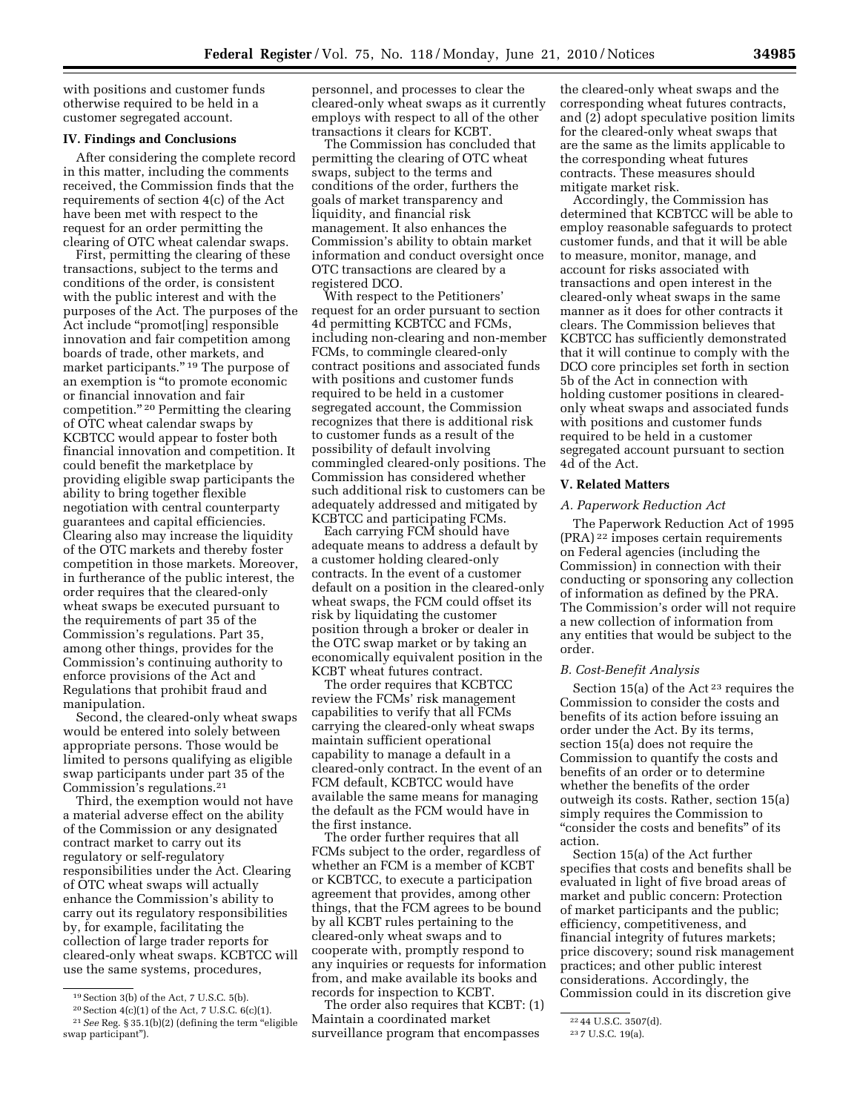with positions and customer funds otherwise required to be held in a customer segregated account.

### **IV. Findings and Conclusions**

After considering the complete record in this matter, including the comments received, the Commission finds that the requirements of section 4(c) of the Act have been met with respect to the request for an order permitting the clearing of OTC wheat calendar swaps.

First, permitting the clearing of these transactions, subject to the terms and conditions of the order, is consistent with the public interest and with the purposes of the Act. The purposes of the Act include ''promot[ing] responsible innovation and fair competition among boards of trade, other markets, and market participants."<sup>19</sup> The purpose of an exemption is ''to promote economic or financial innovation and fair competition.'' 20 Permitting the clearing of OTC wheat calendar swaps by KCBTCC would appear to foster both financial innovation and competition. It could benefit the marketplace by providing eligible swap participants the ability to bring together flexible negotiation with central counterparty guarantees and capital efficiencies. Clearing also may increase the liquidity of the OTC markets and thereby foster competition in those markets. Moreover, in furtherance of the public interest, the order requires that the cleared-only wheat swaps be executed pursuant to the requirements of part 35 of the Commission's regulations. Part 35, among other things, provides for the Commission's continuing authority to enforce provisions of the Act and Regulations that prohibit fraud and manipulation.

Second, the cleared-only wheat swaps would be entered into solely between appropriate persons. Those would be limited to persons qualifying as eligible swap participants under part 35 of the Commission's regulations.21

Third, the exemption would not have a material adverse effect on the ability of the Commission or any designated contract market to carry out its regulatory or self-regulatory responsibilities under the Act. Clearing of OTC wheat swaps will actually enhance the Commission's ability to carry out its regulatory responsibilities by, for example, facilitating the collection of large trader reports for cleared-only wheat swaps. KCBTCC will use the same systems, procedures,

personnel, and processes to clear the cleared-only wheat swaps as it currently employs with respect to all of the other transactions it clears for KCBT.

The Commission has concluded that permitting the clearing of OTC wheat swaps, subject to the terms and conditions of the order, furthers the goals of market transparency and liquidity, and financial risk management. It also enhances the Commission's ability to obtain market information and conduct oversight once OTC transactions are cleared by a registered DCO.

With respect to the Petitioners' request for an order pursuant to section 4d permitting KCBTCC and FCMs, including non-clearing and non-member FCMs, to commingle cleared-only contract positions and associated funds with positions and customer funds required to be held in a customer segregated account, the Commission recognizes that there is additional risk to customer funds as a result of the possibility of default involving commingled cleared-only positions. The Commission has considered whether such additional risk to customers can be adequately addressed and mitigated by KCBTCC and participating FCMs.

Each carrying FCM should have adequate means to address a default by a customer holding cleared-only contracts. In the event of a customer default on a position in the cleared-only wheat swaps, the FCM could offset its risk by liquidating the customer position through a broker or dealer in the OTC swap market or by taking an economically equivalent position in the KCBT wheat futures contract.

The order requires that KCBTCC review the FCMs' risk management capabilities to verify that all FCMs carrying the cleared-only wheat swaps maintain sufficient operational capability to manage a default in a cleared-only contract. In the event of an FCM default, KCBTCC would have available the same means for managing the default as the FCM would have in the first instance.

The order further requires that all FCMs subject to the order, regardless of whether an FCM is a member of KCBT or KCBTCC, to execute a participation agreement that provides, among other things, that the FCM agrees to be bound by all KCBT rules pertaining to the cleared-only wheat swaps and to cooperate with, promptly respond to any inquiries or requests for information from, and make available its books and records for inspection to KCBT.

The order also requires that KCBT: (1) Maintain a coordinated market surveillance program that encompasses

the cleared-only wheat swaps and the corresponding wheat futures contracts, and (2) adopt speculative position limits for the cleared-only wheat swaps that are the same as the limits applicable to the corresponding wheat futures contracts. These measures should mitigate market risk.

Accordingly, the Commission has determined that KCBTCC will be able to employ reasonable safeguards to protect customer funds, and that it will be able to measure, monitor, manage, and account for risks associated with transactions and open interest in the cleared-only wheat swaps in the same manner as it does for other contracts it clears. The Commission believes that KCBTCC has sufficiently demonstrated that it will continue to comply with the DCO core principles set forth in section 5b of the Act in connection with holding customer positions in clearedonly wheat swaps and associated funds with positions and customer funds required to be held in a customer segregated account pursuant to section 4d of the Act.

### **V. Related Matters**

#### *A. Paperwork Reduction Act*

The Paperwork Reduction Act of 1995 (PRA) 22 imposes certain requirements on Federal agencies (including the Commission) in connection with their conducting or sponsoring any collection of information as defined by the PRA. The Commission's order will not require a new collection of information from any entities that would be subject to the order.

### *B. Cost-Benefit Analysis*

Section 15(a) of the Act<sup>23</sup> requires the Commission to consider the costs and benefits of its action before issuing an order under the Act. By its terms, section 15(a) does not require the Commission to quantify the costs and benefits of an order or to determine whether the benefits of the order outweigh its costs. Rather, section 15(a) simply requires the Commission to ''consider the costs and benefits'' of its action.

Section 15(a) of the Act further specifies that costs and benefits shall be evaluated in light of five broad areas of market and public concern: Protection of market participants and the public; efficiency, competitiveness, and financial integrity of futures markets; price discovery; sound risk management practices; and other public interest considerations. Accordingly, the Commission could in its discretion give

<sup>19</sup>Section 3(b) of the Act, 7 U.S.C. 5(b).

<sup>20</sup>Section 4(c)(1) of the Act, 7 U.S.C. 6(c)(1). <sup>21</sup> See Reg. § 35.1(b)(2) (defining the term "eligible swap participant'').

<sup>22</sup> 44 U.S.C. 3507(d).

<sup>23</sup> 7 U.S.C. 19(a).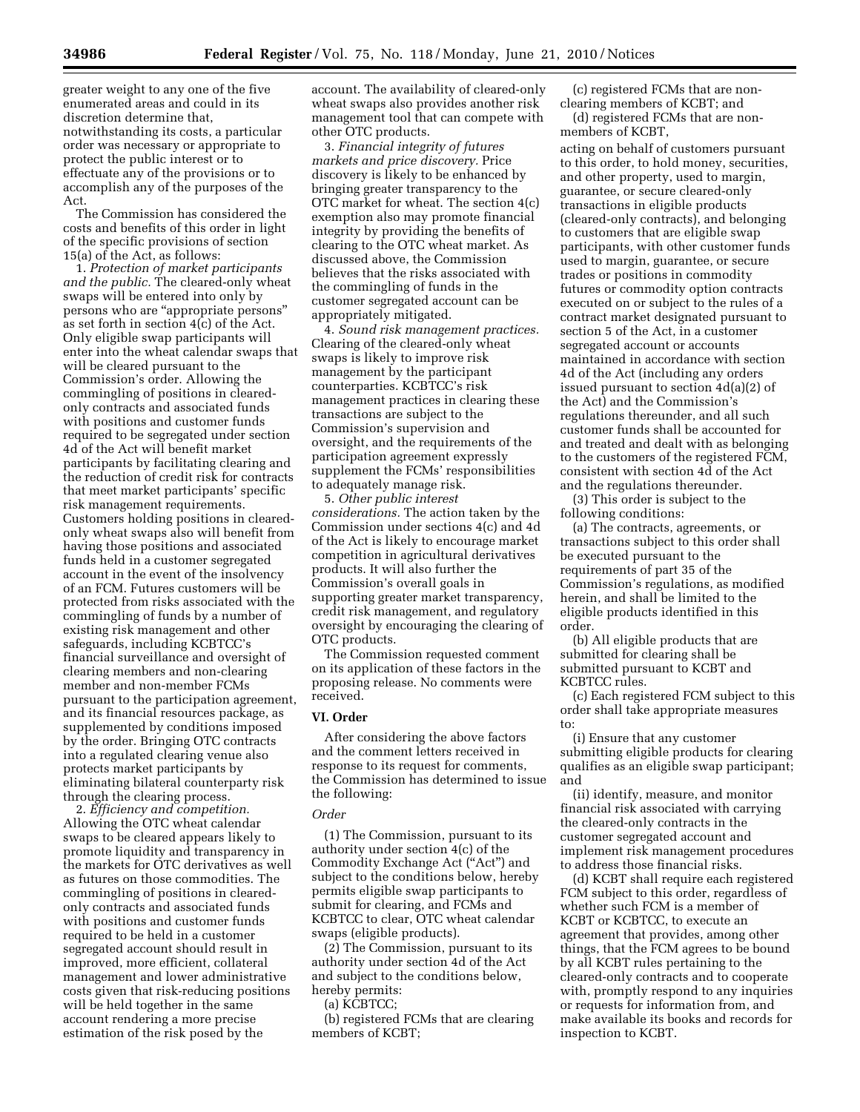greater weight to any one of the five enumerated areas and could in its discretion determine that, notwithstanding its costs, a particular order was necessary or appropriate to protect the public interest or to effectuate any of the provisions or to accomplish any of the purposes of the Act.

The Commission has considered the costs and benefits of this order in light of the specific provisions of section 15(a) of the Act, as follows:

1. *Protection of market participants and the public.* The cleared-only wheat swaps will be entered into only by persons who are ''appropriate persons'' as set forth in section 4(c) of the Act. Only eligible swap participants will enter into the wheat calendar swaps that will be cleared pursuant to the Commission's order. Allowing the commingling of positions in clearedonly contracts and associated funds with positions and customer funds required to be segregated under section 4d of the Act will benefit market participants by facilitating clearing and the reduction of credit risk for contracts that meet market participants' specific risk management requirements. Customers holding positions in clearedonly wheat swaps also will benefit from having those positions and associated funds held in a customer segregated account in the event of the insolvency of an FCM. Futures customers will be protected from risks associated with the commingling of funds by a number of existing risk management and other safeguards, including KCBTCC's financial surveillance and oversight of clearing members and non-clearing member and non-member FCMs pursuant to the participation agreement, and its financial resources package, as supplemented by conditions imposed by the order. Bringing OTC contracts into a regulated clearing venue also protects market participants by eliminating bilateral counterparty risk through the clearing process.

2. *Efficiency and competition.*  Allowing the OTC wheat calendar swaps to be cleared appears likely to promote liquidity and transparency in the markets for OTC derivatives as well as futures on those commodities. The commingling of positions in clearedonly contracts and associated funds with positions and customer funds required to be held in a customer segregated account should result in improved, more efficient, collateral management and lower administrative costs given that risk-reducing positions will be held together in the same account rendering a more precise estimation of the risk posed by the

account. The availability of cleared-only wheat swaps also provides another risk management tool that can compete with other OTC products.

3. *Financial integrity of futures markets and price discovery.* Price discovery is likely to be enhanced by bringing greater transparency to the OTC market for wheat. The section 4(c) exemption also may promote financial integrity by providing the benefits of clearing to the OTC wheat market. As discussed above, the Commission believes that the risks associated with the commingling of funds in the customer segregated account can be appropriately mitigated.

4. *Sound risk management practices.*  Clearing of the cleared-only wheat swaps is likely to improve risk management by the participant counterparties. KCBTCC's risk management practices in clearing these transactions are subject to the Commission's supervision and oversight, and the requirements of the participation agreement expressly supplement the FCMs' responsibilities to adequately manage risk.

5. *Other public interest considerations.* The action taken by the Commission under sections 4(c) and 4d of the Act is likely to encourage market competition in agricultural derivatives products. It will also further the Commission's overall goals in supporting greater market transparency, credit risk management, and regulatory oversight by encouraging the clearing of OTC products.

The Commission requested comment on its application of these factors in the proposing release. No comments were received.

#### **VI. Order**

After considering the above factors and the comment letters received in response to its request for comments, the Commission has determined to issue the following:

#### *Order*

(1) The Commission, pursuant to its authority under section 4(c) of the Commodity Exchange Act (''Act'') and subject to the conditions below, hereby permits eligible swap participants to submit for clearing, and FCMs and KCBTCC to clear, OTC wheat calendar swaps (eligible products).

(2) The Commission, pursuant to its authority under section 4d of the Act and subject to the conditions below, hereby permits:

(a) KCBTCC;

(b) registered FCMs that are clearing members of KCBT;

(c) registered FCMs that are nonclearing members of KCBT; and

(d) registered FCMs that are nonmembers of KCBT,

acting on behalf of customers pursuant to this order, to hold money, securities, and other property, used to margin, guarantee, or secure cleared-only transactions in eligible products (cleared-only contracts), and belonging to customers that are eligible swap participants, with other customer funds used to margin, guarantee, or secure trades or positions in commodity futures or commodity option contracts executed on or subject to the rules of a contract market designated pursuant to section 5 of the Act, in a customer segregated account or accounts maintained in accordance with section 4d of the Act (including any orders issued pursuant to section 4d(a)(2) of the Act) and the Commission's regulations thereunder, and all such customer funds shall be accounted for and treated and dealt with as belonging to the customers of the registered FCM, consistent with section 4d of the Act and the regulations thereunder.

(3) This order is subject to the following conditions:

(a) The contracts, agreements, or transactions subject to this order shall be executed pursuant to the requirements of part 35 of the Commission's regulations, as modified herein, and shall be limited to the eligible products identified in this order.

(b) All eligible products that are submitted for clearing shall be submitted pursuant to KCBT and KCBTCC rules.

(c) Each registered FCM subject to this order shall take appropriate measures to:

(i) Ensure that any customer submitting eligible products for clearing qualifies as an eligible swap participant; and

(ii) identify, measure, and monitor financial risk associated with carrying the cleared-only contracts in the customer segregated account and implement risk management procedures to address those financial risks.

(d) KCBT shall require each registered FCM subject to this order, regardless of whether such FCM is a member of KCBT or KCBTCC, to execute an agreement that provides, among other things, that the FCM agrees to be bound by all KCBT rules pertaining to the cleared-only contracts and to cooperate with, promptly respond to any inquiries or requests for information from, and make available its books and records for inspection to KCBT.